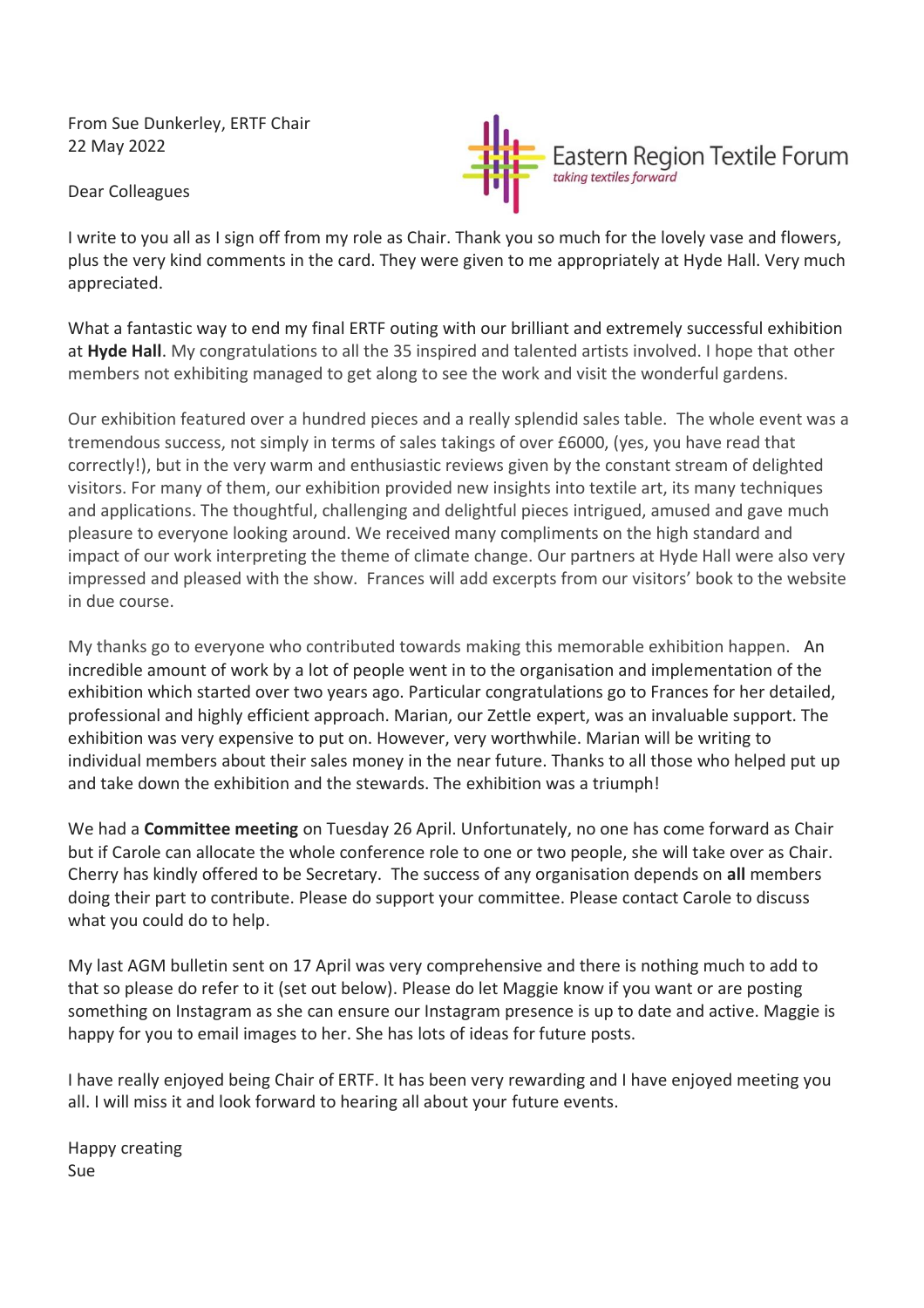From Sue Dunkerley, ERTF Chair 22 May 2022

Dear Colleagues



I write to you all as I sign off from my role as Chair. Thank you so much for the lovely vase and flowers, plus the very kind comments in the card. They were given to me appropriately at Hyde Hall. Very much appreciated.

What a fantastic way to end my final ERTF outing with our brilliant and extremely successful exhibition at **Hyde Hall**. My congratulations to all the 35 inspired and talented artists involved. I hope that other members not exhibiting managed to get along to see the work and visit the wonderful gardens.

Our exhibition featured over a hundred pieces and a really splendid sales table. The whole event was a tremendous success, not simply in terms of sales takings of over £6000, (yes, you have read that correctly!), but in the very warm and enthusiastic reviews given by the constant stream of delighted visitors. For many of them, our exhibition provided new insights into textile art, its many techniques and applications. The thoughtful, challenging and delightful pieces intrigued, amused and gave much pleasure to everyone looking around. We received many compliments on the high standard and impact of our work interpreting the theme of climate change. Our partners at Hyde Hall were also very impressed and pleased with the show. Frances will add excerpts from our visitors' book to the website in due course.

My thanks go to everyone who contributed towards making this memorable exhibition happen. An incredible amount of work by a lot of people went in to the organisation and implementation of the exhibition which started over two years ago. Particular congratulations go to Frances for her detailed, professional and highly efficient approach. Marian, our Zettle expert, was an invaluable support. The exhibition was very expensive to put on. However, very worthwhile. Marian will be writing to individual members about their sales money in the near future. Thanks to all those who helped put up and take down the exhibition and the stewards. The exhibition was a triumph!

We had a **Committee meeting** on Tuesday 26 April. Unfortunately, no one has come forward as Chair but if Carole can allocate the whole conference role to one or two people, she will take over as Chair. Cherry has kindly offered to be Secretary. The success of any organisation depends on **all** members doing their part to contribute. Please do support your committee. Please contact Carole to discuss what you could do to help.

My last AGM bulletin sent on 17 April was very comprehensive and there is nothing much to add to that so please do refer to it (set out below). Please do let Maggie know if you want or are posting something on Instagram as she can ensure our Instagram presence is up to date and active. Maggie is happy for you to email images to her. She has lots of ideas for future posts.

I have really enjoyed being Chair of ERTF. It has been very rewarding and I have enjoyed meeting you all. I will miss it and look forward to hearing all about your future events.

Happy creating Sue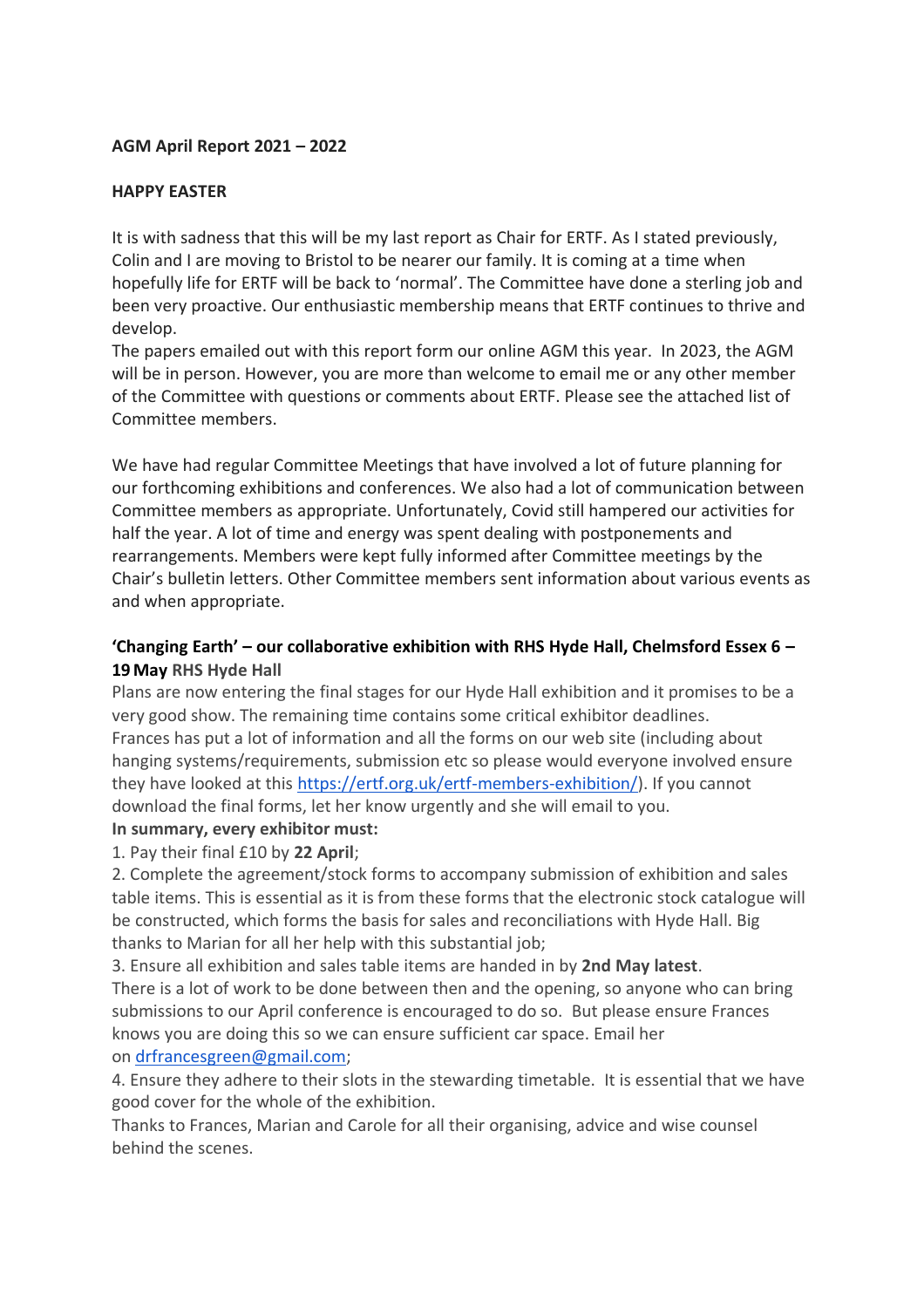## **AGM April Report 2021 – 2022**

## **HAPPY EASTER**

It is with sadness that this will be my last report as Chair for ERTF. As I stated previously, Colin and I are moving to Bristol to be nearer our family. It is coming at a time when hopefully life for ERTF will be back to 'normal'. The Committee have done a sterling job and been very proactive. Our enthusiastic membership means that ERTF continues to thrive and develop.

The papers emailed out with this report form our online AGM this year. In 2023, the AGM will be in person. However, you are more than welcome to email me or any other member of the Committee with questions or comments about ERTF. Please see the attached list of Committee members.

We have had regular Committee Meetings that have involved a lot of future planning for our forthcoming exhibitions and conferences. We also had a lot of communication between Committee members as appropriate. Unfortunately, Covid still hampered our activities for half the year. A lot of time and energy was spent dealing with postponements and rearrangements. Members were kept fully informed after Committee meetings by the Chair's bulletin letters. Other Committee members sent information about various events as and when appropriate.

## **'Changing Earth' – our collaborative exhibition with RHS Hyde Hall, Chelmsford Essex 6 – 19May RHS Hyde Hall**

Plans are now entering the final stages for our Hyde Hall exhibition and it promises to be a very good show. The remaining time contains some critical exhibitor deadlines. Frances has put a lot of information and all the forms on our web site (including about hanging systems/requirements, submission etc so please would everyone involved ensure they have looked at this [https://ertf.org.uk/ertf-members-exhibition/\)](https://ertf.org.uk/ertf-members-exhibition/). If you cannot download the final forms, let her know urgently and she will email to you.

## **In summary, every exhibitor must:**

1. Pay their final £10 by **22 April**;

2. Complete the agreement/stock forms to accompany submission of exhibition and sales table items. This is essential as it is from these forms that the electronic stock catalogue will be constructed, which forms the basis for sales and reconciliations with Hyde Hall. Big thanks to Marian for all her help with this substantial job;

3. Ensure all exhibition and sales table items are handed in by **2nd May latest**.

There is a lot of work to be done between then and the opening, so anyone who can bring submissions to our April conference is encouraged to do so. But please ensure Frances knows you are doing this so we can ensure sufficient car space. Email her on [drfrancesgreen@gmail.com;](mailto:drfrancesgreen@gmail.com)

4. Ensure they adhere to their slots in the stewarding timetable. It is essential that we have good cover for the whole of the exhibition.

Thanks to Frances, Marian and Carole for all their organising, advice and wise counsel behind the scenes.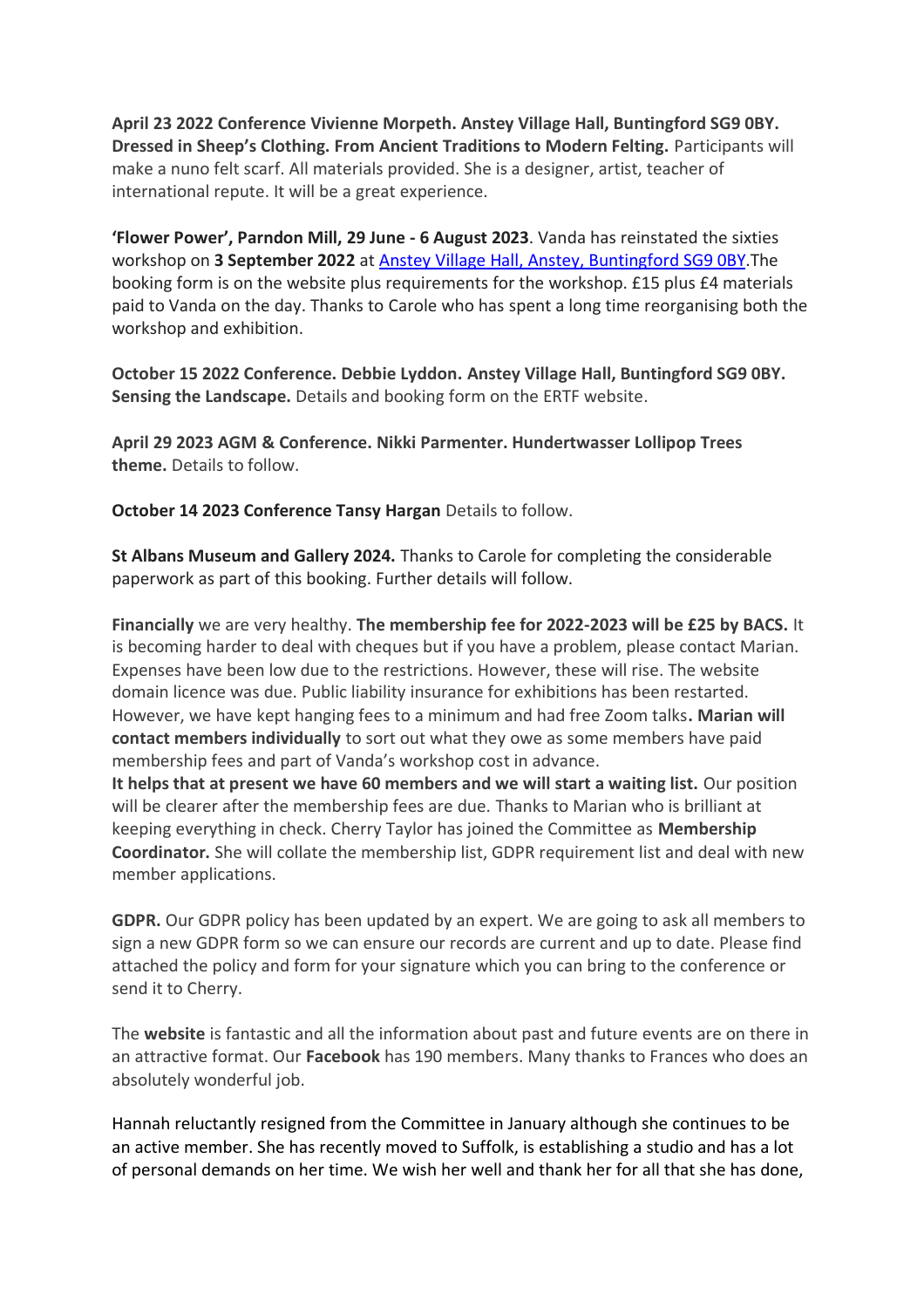**April 23 2022 Conference Vivienne Morpeth. Anstey Village Hall, Buntingford SG9 0BY. Dressed in Sheep's Clothing. From Ancient Traditions to Modern Felting.** Participants will make a nuno felt scarf. All materials provided. She is a designer, artist, teacher of international repute. It will be a great experience.

**'Flower Power', Parndon Mill, 29 June - 6 August 2023**. Vanda has reinstated the sixties workshop on **3 September 2022** at Anstey Village Hall, Anstey, [Buntingford](http://www.ansteyvillage.co.uk/hall/) SG9 0BY.The booking form is on the website plus requirements for the workshop. £15 plus £4 materials paid to Vanda on the day. Thanks to Carole who has spent a long time reorganising both the workshop and exhibition.

**October 15 2022 Conference. Debbie Lyddon. Anstey Village Hall, Buntingford SG9 0BY. Sensing the Landscape.** Details and booking form on the ERTF website.

**April 29 2023 AGM & Conference. Nikki Parmenter. Hundertwasser Lollipop Trees theme.** Details to follow.

**October 14 2023 Conference Tansy Hargan** Details to follow.

**St Albans Museum and Gallery 2024.** Thanks to Carole for completing the considerable paperwork as part of this booking. Further details will follow.

**Financially** we are very healthy. **The membership fee for 2022-2023 will be £25 by BACS.** It is becoming harder to deal with cheques but if you have a problem, please contact Marian. Expenses have been low due to the restrictions. However, these will rise. The website domain licence was due. Public liability insurance for exhibitions has been restarted. However, we have kept hanging fees to a minimum and had free Zoom talks**. Marian will contact members individually** to sort out what they owe as some members have paid membership fees and part of Vanda's workshop cost in advance. **It helps that at present we have 60 members and we will start a waiting list.** Our position

will be clearer after the membership fees are due. Thanks to Marian who is brilliant at keeping everything in check. Cherry Taylor has joined the Committee as **Membership Coordinator.** She will collate the membership list, GDPR requirement list and deal with new member applications.

**GDPR.** Our GDPR policy has been updated by an expert. We are going to ask all members to sign a new GDPR form so we can ensure our records are current and up to date. Please find attached the policy and form for your signature which you can bring to the conference or send it to Cherry.

The **website** is fantastic and all the information about past and future events are on there in an attractive format. Our **Facebook** has 190 members. Many thanks to Frances who does an absolutely wonderful job.

Hannah reluctantly resigned from the Committee in January although she continues to be an active member. She has recently moved to Suffolk, is establishing a studio and has a lot of personal demands on her time. We wish her well and thank her for all that she has done,